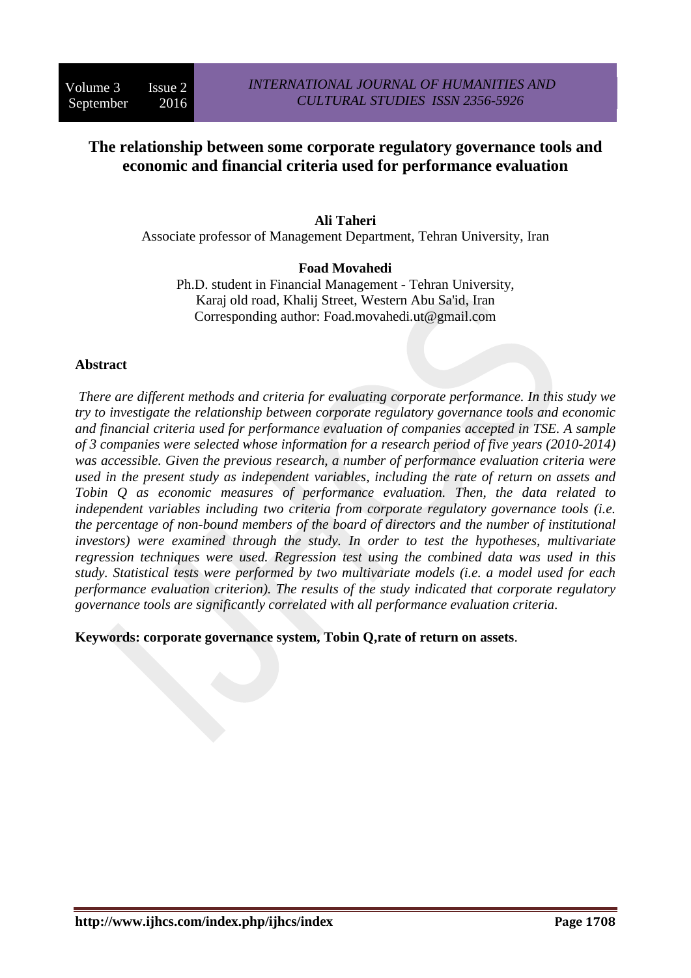# **The relationship between some corporate regulatory governance tools and economic and financial criteria used for performance evaluation**

# **Ali Taheri**

Associate professor of Management Department, Tehran University, Iran

# **Foad Movahedi**

Ph.D. student in Financial Management - Tehran University, Karaj old road, Khalij Street, Western Abu Sa'id, Iran Corresponding author: Foad.movahedi.ut@gmail.com

# **Abstract**

*There are different methods and criteria for evaluating corporate performance. In this study we try to investigate the relationship between corporate regulatory governance tools and economic and financial criteria used for performance evaluation of companies accepted in TSE. A sample of 3 companies were selected whose information for a research period of five years (2010-2014) was accessible. Given the previous research, a number of performance evaluation criteria were used in the present study as independent variables, including the rate of return on assets and Tobin Q as economic measures of performance evaluation. Then, the data related to independent variables including two criteria from corporate regulatory governance tools (i.e. the percentage of non-bound members of the board of directors and the number of institutional investors) were examined through the study. In order to test the hypotheses, multivariate regression techniques were used. Regression test using the combined data was used in this study. Statistical tests were performed by two multivariate models (i.e. a model used for each performance evaluation criterion). The results of the study indicated that corporate regulatory governance tools are significantly correlated with all performance evaluation criteria.* 

**Keywords: corporate governance system, Tobin Q,rate of return on assets**.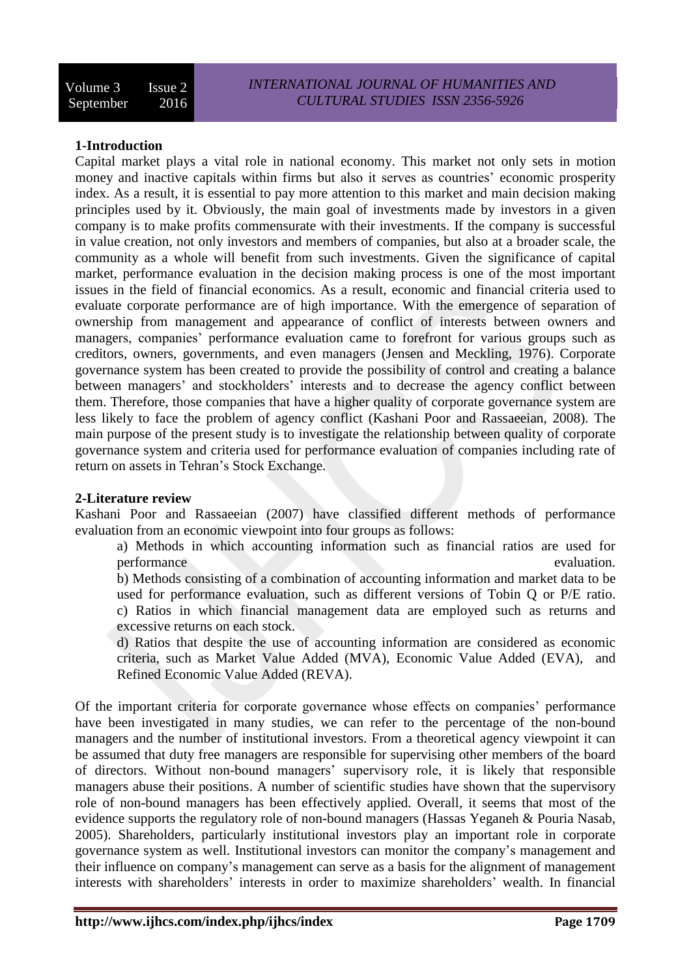#### **1-Introduction**

Capital market plays a vital role in national economy. This market not only sets in motion money and inactive capitals within firms but also it serves as countries' economic prosperity index. As a result, it is essential to pay more attention to this market and main decision making principles used by it. Obviously, the main goal of investments made by investors in a given company is to make profits commensurate with their investments. If the company is successful in value creation, not only investors and members of companies, but also at a broader scale, the community as a whole will benefit from such investments. Given the significance of capital market, performance evaluation in the decision making process is one of the most important issues in the field of financial economics. As a result, economic and financial criteria used to evaluate corporate performance are of high importance. With the emergence of separation of ownership from management and appearance of conflict of interests between owners and managers, companies' performance evaluation came to forefront for various groups such as creditors, owners, governments, and even managers (Jensen and Meckling, 1976). Corporate governance system has been created to provide the possibility of control and creating a balance between managers' and stockholders' interests and to decrease the agency conflict between them. Therefore, those companies that have a higher quality of corporate governance system are less likely to face the problem of agency conflict (Kashani Poor and Rassaeeian, 2008). The main purpose of the present study is to investigate the relationship between quality of corporate governance system and criteria used for performance evaluation of companies including rate of return on assets in Tehran's Stock Exchange.

#### **2-Literature review**

Kashani Poor and Rassaeeian (2007) have classified different methods of performance evaluation from an economic viewpoint into four groups as follows:

a) Methods in which accounting information such as financial ratios are used for performance evaluation.

b) Methods consisting of a combination of accounting information and market data to be used for performance evaluation, such as different versions of Tobin Q or P/E ratio. c) Ratios in which financial management data are employed such as returns and excessive returns on each stock.

d) Ratios that despite the use of accounting information are considered as economic criteria, such as Market Value Added (MVA), Economic Value Added (EVA), and Refined Economic Value Added (REVA).

Of the important criteria for corporate governance whose effects on companies' performance have been investigated in many studies, we can refer to the percentage of the non-bound managers and the number of institutional investors. From a theoretical agency viewpoint it can be assumed that duty free managers are responsible for supervising other members of the board of directors. Without non-bound managers' supervisory role, it is likely that responsible managers abuse their positions. A number of scientific studies have shown that the supervisory role of non-bound managers has been effectively applied. Overall, it seems that most of the evidence supports the regulatory role of non-bound managers (Hassas Yeganeh & Pouria Nasab, 2005). Shareholders, particularly institutional investors play an important role in corporate governance system as well. Institutional investors can monitor the company's management and their influence on company's management can serve as a basis for the alignment of management interests with shareholders' interests in order to maximize shareholders' wealth. In financial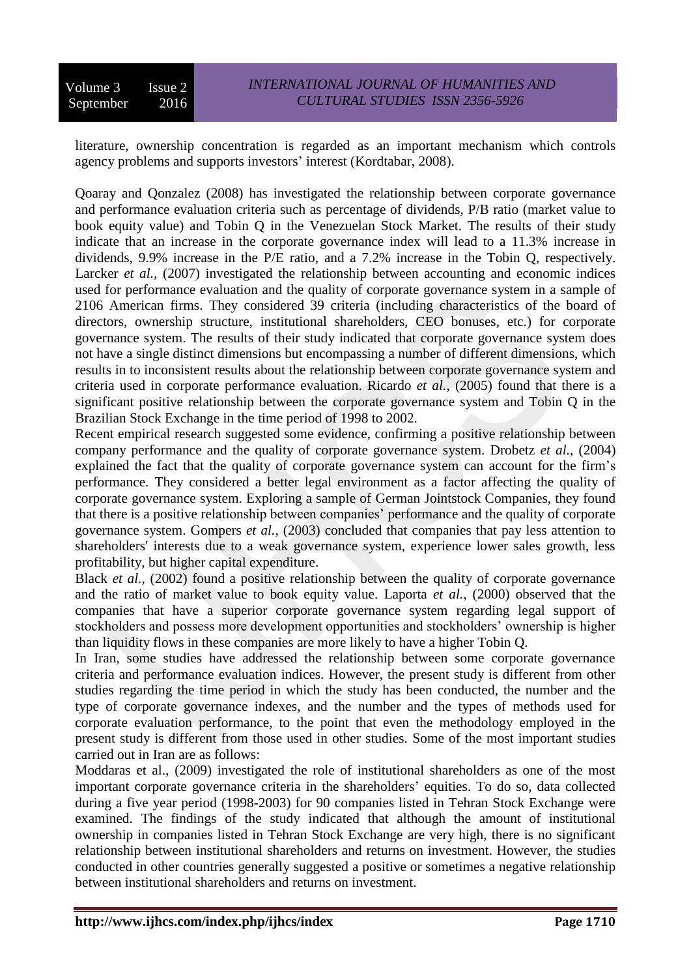literature, ownership concentration is regarded as an important mechanism which controls agency problems and supports investors' interest (Kordtabar, 2008).

Qoaray and Qonzalez (2008) has investigated the relationship between corporate governance and performance evaluation criteria such as percentage of dividends, P/B ratio (market value to book equity value) and Tobin Q in the Venezuelan Stock Market. The results of their study indicate that an increase in the corporate governance index will lead to a 11.3% increase in dividends, 9.9% increase in the P/E ratio, and a 7.2% increase in the Tobin Q, respectively. Larcker *et al.*, (2007) investigated the relationship between accounting and economic indices used for performance evaluation and the quality of corporate governance system in a sample of 2106 American firms. They considered 39 criteria (including characteristics of the board of directors, ownership structure, institutional shareholders, CEO bonuses, etc.) for corporate governance system. The results of their study indicated that corporate governance system does not have a single distinct dimensions but encompassing a number of different dimensions, which results in to inconsistent results about the relationship between corporate governance system and criteria used in corporate performance evaluation. Ricardo *et al.*, (2005) found that there is a significant positive relationship between the corporate governance system and Tobin Q in the Brazilian Stock Exchange in the time period of 1998 to 2002.

Recent empirical research suggested some evidence, confirming a positive relationship between company performance and the quality of corporate governance system. Drobetz *et al.*, (2004) explained the fact that the quality of corporate governance system can account for the firm's performance. They considered a better legal environment as a factor affecting the quality of corporate governance system. Exploring a sample of German Jointstock Companies, they found that there is a positive relationship between companies' performance and the quality of corporate governance system. Gompers *et al.*, (2003) concluded that companies that pay less attention to shareholders' interests due to a weak governance system, experience lower sales growth, less profitability, but higher capital expenditure.

Black *et al.*, (2002) found a positive relationship between the quality of corporate governance and the ratio of market value to book equity value. Laporta *et al.*, (2000) observed that the companies that have a superior corporate governance system regarding legal support of stockholders and possess more development opportunities and stockholders' ownership is higher than liquidity flows in these companies are more likely to have a higher Tobin Q.

In Iran, some studies have addressed the relationship between some corporate governance criteria and performance evaluation indices. However, the present study is different from other studies regarding the time period in which the study has been conducted, the number and the type of corporate governance indexes, and the number and the types of methods used for corporate evaluation performance, to the point that even the methodology employed in the present study is different from those used in other studies. Some of the most important studies carried out in Iran are as follows:

Moddaras et al., (2009) investigated the role of institutional shareholders as one of the most important corporate governance criteria in the shareholders' equities. To do so, data collected during a five year period (1998-2003) for 90 companies listed in Tehran Stock Exchange were examined. The findings of the study indicated that although the amount of institutional ownership in companies listed in Tehran Stock Exchange are very high, there is no significant relationship between institutional shareholders and returns on investment. However, the studies conducted in other countries generally suggested a positive or sometimes a negative relationship between institutional shareholders and returns on investment.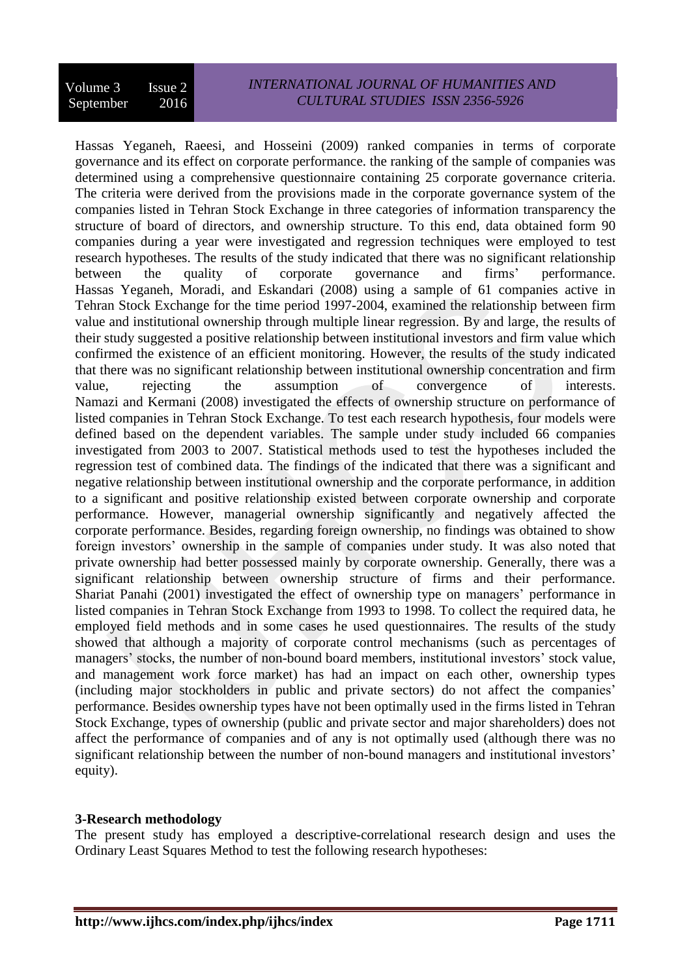Hassas Yeganeh, Raeesi, and Hosseini (2009) ranked companies in terms of corporate governance and its effect on corporate performance. the ranking of the sample of companies was determined using a comprehensive questionnaire containing 25 corporate governance criteria. The criteria were derived from the provisions made in the corporate governance system of the companies listed in Tehran Stock Exchange in three categories of information transparency the structure of board of directors, and ownership structure. To this end, data obtained form 90 companies during a year were investigated and regression techniques were employed to test research hypotheses. The results of the study indicated that there was no significant relationship between the quality of corporate governance and firms' performance. Hassas Yeganeh, Moradi, and Eskandari (2008) using a sample of 61 companies active in Tehran Stock Exchange for the time period 1997-2004, examined the relationship between firm value and institutional ownership through multiple linear regression. By and large, the results of their study suggested a positive relationship between institutional investors and firm value which confirmed the existence of an efficient monitoring. However, the results of the study indicated that there was no significant relationship between institutional ownership concentration and firm value, rejecting the assumption of convergence of interests. Namazi and Kermani (2008) investigated the effects of ownership structure on performance of listed companies in Tehran Stock Exchange. To test each research hypothesis, four models were defined based on the dependent variables. The sample under study included 66 companies investigated from 2003 to 2007. Statistical methods used to test the hypotheses included the regression test of combined data. The findings of the indicated that there was a significant and negative relationship between institutional ownership and the corporate performance, in addition to a significant and positive relationship existed between corporate ownership and corporate performance. However, managerial ownership significantly and negatively affected the corporate performance. Besides, regarding foreign ownership, no findings was obtained to show foreign investors' ownership in the sample of companies under study. It was also noted that private ownership had better possessed mainly by corporate ownership. Generally, there was a significant relationship between ownership structure of firms and their performance. Shariat Panahi (2001) investigated the effect of ownership type on managers' performance in listed companies in Tehran Stock Exchange from 1993 to 1998. To collect the required data, he employed field methods and in some cases he used questionnaires. The results of the study showed that although a majority of corporate control mechanisms (such as percentages of managers' stocks, the number of non-bound board members, institutional investors' stock value, and management work force market) has had an impact on each other, ownership types (including major stockholders in public and private sectors) do not affect the companies' performance. Besides ownership types have not been optimally used in the firms listed in Tehran Stock Exchange, types of ownership (public and private sector and major shareholders) does not affect the performance of companies and of any is not optimally used (although there was no significant relationship between the number of non-bound managers and institutional investors' equity).

# **3-Research methodology**

The present study has employed a descriptive-correlational research design and uses the Ordinary Least Squares Method to test the following research hypotheses: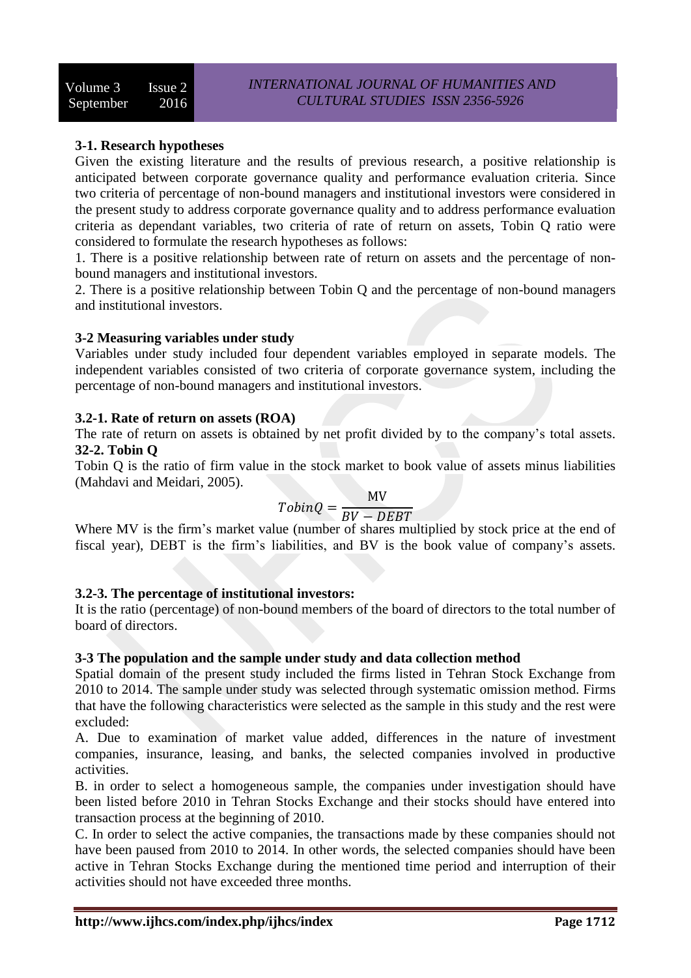# **3-1. Research hypotheses**

Given the existing literature and the results of previous research, a positive relationship is anticipated between corporate governance quality and performance evaluation criteria. Since two criteria of percentage of non-bound managers and institutional investors were considered in the present study to address corporate governance quality and to address performance evaluation criteria as dependant variables, two criteria of rate of return on assets, Tobin Q ratio were considered to formulate the research hypotheses as follows:

1. There is a positive relationship between rate of return on assets and the percentage of nonbound managers and institutional investors.

2. There is a positive relationship between Tobin Q and the percentage of non-bound managers and institutional investors.

# **3-2 Measuring variables under study**

Variables under study included four dependent variables employed in separate models. The independent variables consisted of two criteria of corporate governance system, including the percentage of non-bound managers and institutional investors.

# **3.2-1. Rate of return on assets (ROA)**

The rate of return on assets is obtained by net profit divided by to the company's total assets. **32-2. Tobin Q**

Tobin Q is the ratio of firm value in the stock market to book value of assets minus liabilities (Mahdavi and Meidari, 2005).

$$
TobinQ = \frac{MV}{BV - DEBT}
$$

Where MV is the firm's market value (number of shares multiplied by stock price at the end of fiscal year), DEBT is the firm's liabilities, and BV is the book value of company's assets.

# **3.2-3. The percentage of institutional investors:**

It is the ratio (percentage) of non-bound members of the board of directors to the total number of board of directors.

# **3-3 The population and the sample under study and data collection method**

Spatial domain of the present study included the firms listed in Tehran Stock Exchange from 2010 to 2014. The sample under study was selected through systematic omission method. Firms that have the following characteristics were selected as the sample in this study and the rest were excluded:

A. Due to examination of market value added, differences in the nature of investment companies, insurance, leasing, and banks, the selected companies involved in productive activities.

B. in order to select a homogeneous sample, the companies under investigation should have been listed before 2010 in Tehran Stocks Exchange and their stocks should have entered into transaction process at the beginning of 2010.

C. In order to select the active companies, the transactions made by these companies should not have been paused from 2010 to 2014. In other words, the selected companies should have been active in Tehran Stocks Exchange during the mentioned time period and interruption of their activities should not have exceeded three months.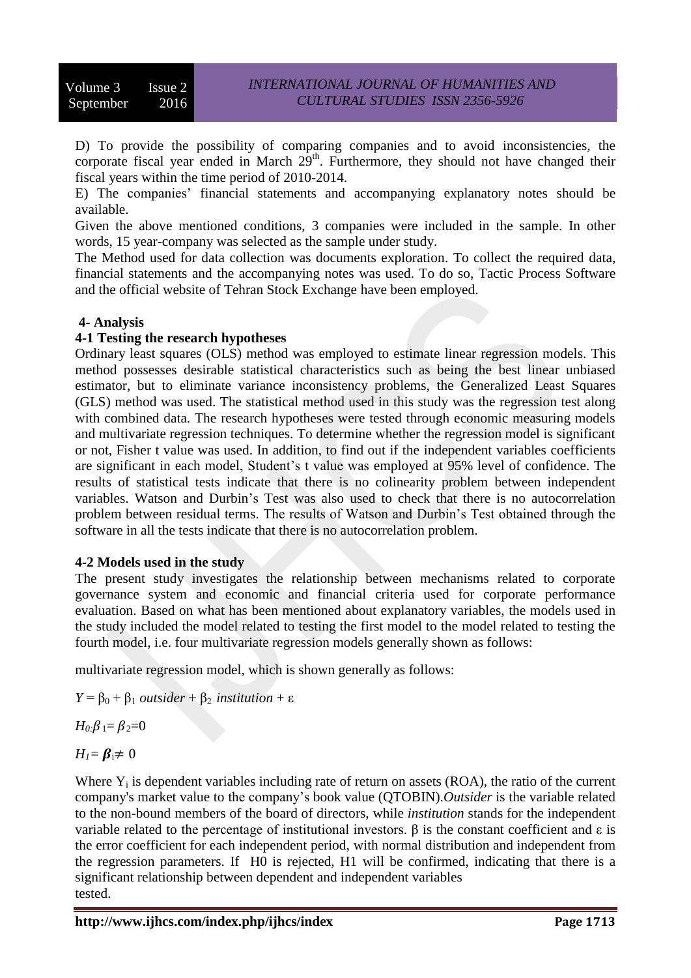D) To provide the possibility of comparing companies and to avoid inconsistencies, the corporate fiscal year ended in March  $29<sup>th</sup>$ . Furthermore, they should not have changed their fiscal years within the time period of 2010-2014.

E) The companies' financial statements and accompanying explanatory notes should be available.

Given the above mentioned conditions, 3 companies were included in the sample. In other words, 15 year-company was selected as the sample under study.

The Method used for data collection was documents exploration. To collect the required data, financial statements and the accompanying notes was used. To do so, Tactic Process Software and the official website of Tehran Stock Exchange have been employed.

# **4- Analysis**

#### **4-1 Testing the research hypotheses**

Ordinary least squares (OLS) method was employed to estimate linear regression models. This method possesses desirable statistical characteristics such as being the best linear unbiased estimator, but to eliminate variance inconsistency problems, the Generalized Least Squares (GLS) method was used. The statistical method used in this study was the regression test along with combined data. The research hypotheses were tested through economic measuring models and multivariate regression techniques. To determine whether the regression model is significant or not, Fisher t value was used. In addition, to find out if the independent variables coefficients are significant in each model, Student's t value was employed at 95% level of confidence. The results of statistical tests indicate that there is no colinearity problem between independent variables. Watson and Durbin's Test was also used to check that there is no autocorrelation problem between residual terms. The results of Watson and Durbin's Test obtained through the software in all the tests indicate that there is no autocorrelation problem.

# **4-2 Models used in the study**

The present study investigates the relationship between mechanisms related to corporate governance system and economic and financial criteria used for corporate performance evaluation. Based on what has been mentioned about explanatory variables, the models used in the study included the model related to testing the first model to the model related to testing the fourth model, i.e. four multivariate regression models generally shown as follows:

multivariate regression model, which is shown generally as follows:

 $Y = \beta_0 + \beta_1$  *outsider* +  $\beta_2$  *institution* + ε

 $H_0$ : $\beta_1 = \beta_2 = 0$ 

 $H_1 = \beta_i \neq 0$ 

Where  $Y_i$  is dependent variables including rate of return on assets (ROA), the ratio of the current company's market value to the company's book value (QTOBIN).*Outsider* is the variable related to the non-bound members of the board of directors, while *institution* stands for the independent variable related to the percentage of institutional investors. β is the constant coefficient and ε is the error coefficient for each independent period, with normal distribution and independent from the regression parameters. If H0 is rejected, H1 will be confirmed, indicating that there is a significant relationship between dependent and independent variables tested.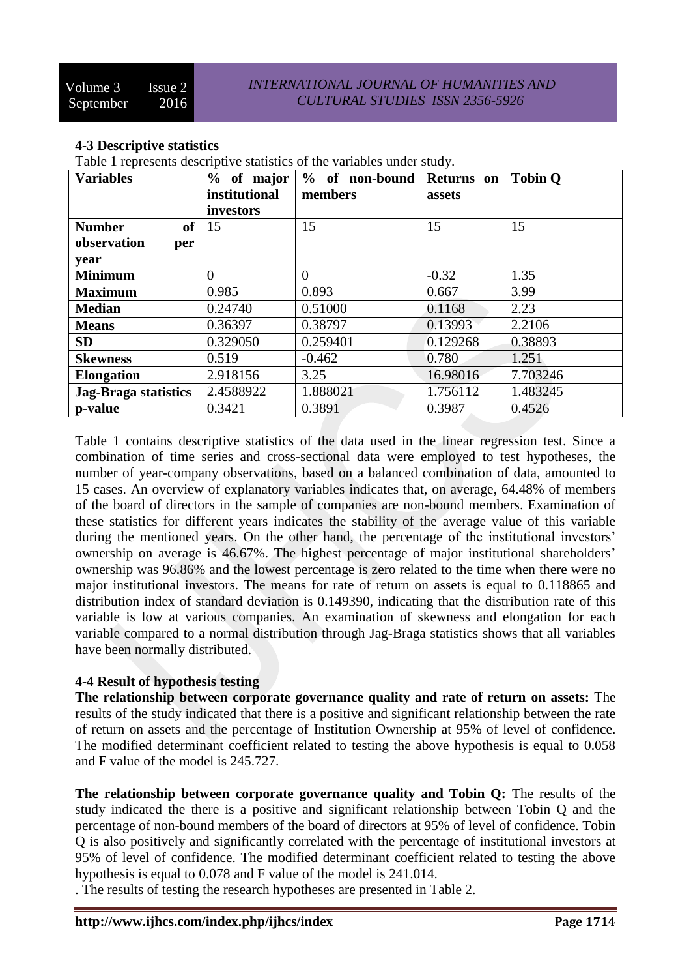# **4-3 Descriptive statistics**

Table 1 represents descriptive statistics of the variables under study.

| <b>Variables</b>            | % of major     | % of non-bound | Returns on | <b>Tobin Q</b> |
|-----------------------------|----------------|----------------|------------|----------------|
|                             | institutional  | members        | assets     |                |
|                             | investors      |                |            |                |
| of<br><b>Number</b>         | 15             | 15             | 15         | 15             |
| observation<br>per          |                |                |            |                |
| year                        |                |                |            |                |
| <b>Minimum</b>              | $\overline{0}$ | $\overline{0}$ | $-0.32$    | 1.35           |
| <b>Maximum</b>              | 0.985          | 0.893          | 0.667      | 3.99           |
| <b>Median</b>               | 0.24740        | 0.51000        | 0.1168     | 2.23           |
| <b>Means</b>                | 0.36397        | 0.38797        | 0.13993    | 2.2106         |
| <b>SD</b>                   | 0.329050       | 0.259401       | 0.129268   | 0.38893        |
| <b>Skewness</b>             | 0.519          | $-0.462$       | 0.780      | 1.251          |
| <b>Elongation</b>           | 2.918156       | 3.25           | 16.98016   | 7.703246       |
| <b>Jag-Braga statistics</b> | 2.4588922      | 1.888021       | 1.756112   | 1.483245       |
| p-value                     | 0.3421         | 0.3891         | 0.3987     | 0.4526         |

Table 1 contains descriptive statistics of the data used in the linear regression test. Since a combination of time series and cross-sectional data were employed to test hypotheses, the number of year-company observations, based on a balanced combination of data, amounted to 15 cases. An overview of explanatory variables indicates that, on average, 64.48% of members of the board of directors in the sample of companies are non-bound members. Examination of these statistics for different years indicates the stability of the average value of this variable during the mentioned years. On the other hand, the percentage of the institutional investors' ownership on average is 46.67%. The highest percentage of major institutional shareholders' ownership was 96.86% and the lowest percentage is zero related to the time when there were no major institutional investors. The means for rate of return on assets is equal to 0.118865 and distribution index of standard deviation is 0.149390, indicating that the distribution rate of this variable is low at various companies. An examination of skewness and elongation for each variable compared to a normal distribution through Jag-Braga statistics shows that all variables have been normally distributed.

#### **4-4 Result of hypothesis testing**

**The relationship between corporate governance quality and rate of return on assets:** The results of the study indicated that there is a positive and significant relationship between the rate of return on assets and the percentage of Institution Ownership at 95% of level of confidence. The modified determinant coefficient related to testing the above hypothesis is equal to 0.058 and F value of the model is 245.727.

**The relationship between corporate governance quality and Tobin Q:** The results of the study indicated the there is a positive and significant relationship between Tobin Q and the percentage of non-bound members of the board of directors at 95% of level of confidence. Tobin Q is also positively and significantly correlated with the percentage of institutional investors at 95% of level of confidence. The modified determinant coefficient related to testing the above hypothesis is equal to 0.078 and F value of the model is 241.014.

. The results of testing the research hypotheses are presented in Table 2.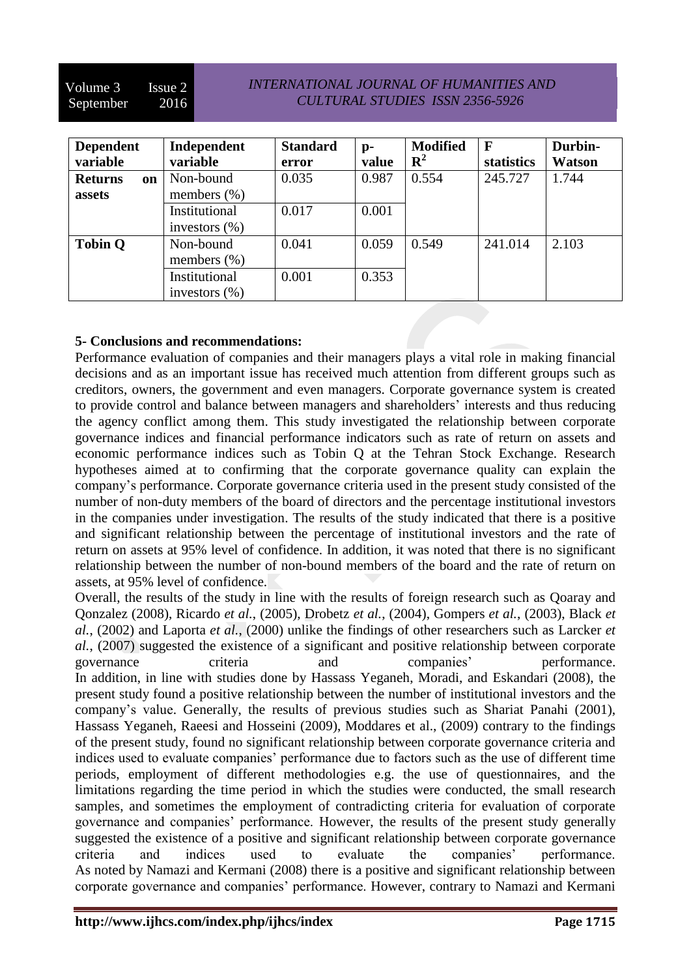| <b>Dependent</b>     | Independent      | <b>Standard</b> | $p-$  | <b>Modified</b><br>$\mathbf{R}^2$ | $\mathbf F$ | Durbin-       |
|----------------------|------------------|-----------------|-------|-----------------------------------|-------------|---------------|
| variable             | variable         | error           | value |                                   | statistics  | <b>Watson</b> |
| <b>Returns</b><br>on | Non-bound        | 0.035           | 0.987 | 0.554                             | 245.727     | 1.744         |
| assets               | members $(\%)$   |                 |       |                                   |             |               |
|                      | Institutional    | 0.017           | 0.001 |                                   |             |               |
|                      | investors $(\%)$ |                 |       |                                   |             |               |
| <b>Tobin Q</b>       | Non-bound        | 0.041           | 0.059 | 0.549                             | 241.014     | 2.103         |
|                      | members $(\%)$   |                 |       |                                   |             |               |
|                      | Institutional    | 0.001           | 0.353 |                                   |             |               |
|                      | investors $(\%)$ |                 |       |                                   |             |               |

# **5- Conclusions and recommendations:**

Performance evaluation of companies and their managers plays a vital role in making financial decisions and as an important issue has received much attention from different groups such as creditors, owners, the government and even managers. Corporate governance system is created to provide control and balance between managers and shareholders' interests and thus reducing the agency conflict among them. This study investigated the relationship between corporate governance indices and financial performance indicators such as rate of return on assets and economic performance indices such as Tobin Q at the Tehran Stock Exchange. Research hypotheses aimed at to confirming that the corporate governance quality can explain the company's performance. Corporate governance criteria used in the present study consisted of the number of non-duty members of the board of directors and the percentage institutional investors in the companies under investigation. The results of the study indicated that there is a positive and significant relationship between the percentage of institutional investors and the rate of return on assets at 95% level of confidence. In addition, it was noted that there is no significant relationship between the number of non-bound members of the board and the rate of return on assets, at 95% level of confidence.

Overall, the results of the study in line with the results of foreign research such as Qoaray and Qonzalez (2008), Ricardo *et al.*, (2005), Drobetz *et al.*, (2004), Gompers *et al.*, (2003), Black *et al.*, (2002) and Laporta *et al.*, (2000) unlike the findings of other researchers such as Larcker *et al.*, (2007) suggested the existence of a significant and positive relationship between corporate governance criteria and companies' performance. In addition, in line with studies done by Hassass Yeganeh, Moradi, and Eskandari (2008), the present study found a positive relationship between the number of institutional investors and the company's value. Generally, the results of previous studies such as Shariat Panahi (2001), Hassass Yeganeh, Raeesi and Hosseini (2009), Moddares et al., (2009) contrary to the findings of the present study, found no significant relationship between corporate governance criteria and indices used to evaluate companies' performance due to factors such as the use of different time periods, employment of different methodologies e.g. the use of questionnaires, and the limitations regarding the time period in which the studies were conducted, the small research samples, and sometimes the employment of contradicting criteria for evaluation of corporate governance and companies' performance. However, the results of the present study generally suggested the existence of a positive and significant relationship between corporate governance criteria and indices used to evaluate the companies' performance. As noted by Namazi and Kermani (2008) there is a positive and significant relationship between corporate governance and companies' performance. However, contrary to Namazi and Kermani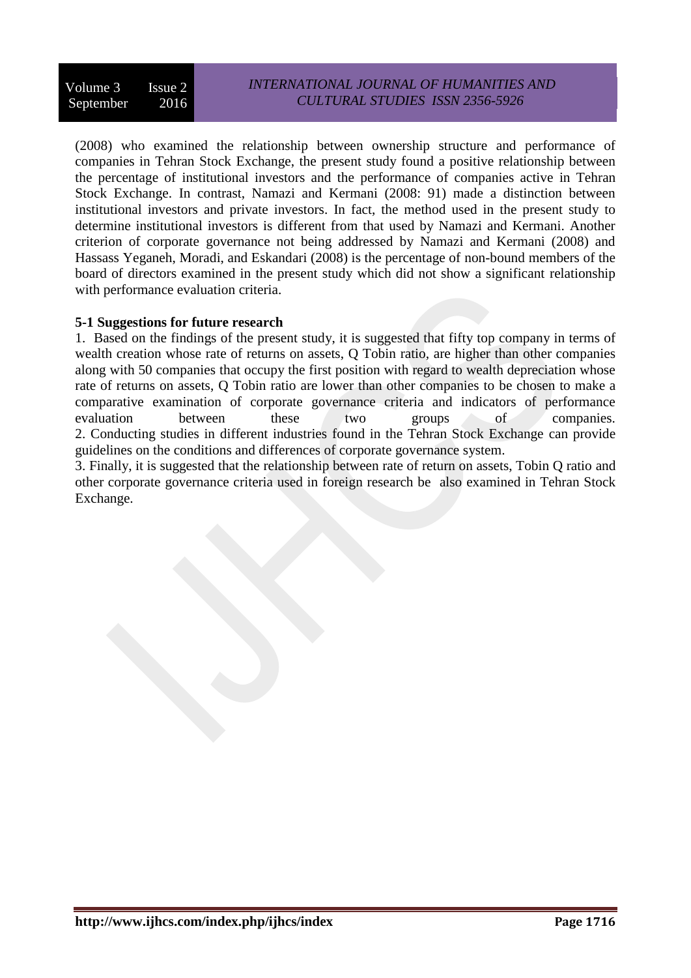(2008) who examined the relationship between ownership structure and performance of companies in Tehran Stock Exchange, the present study found a positive relationship between the percentage of institutional investors and the performance of companies active in Tehran Stock Exchange. In contrast, Namazi and Kermani (2008: 91) made a distinction between institutional investors and private investors. In fact, the method used in the present study to determine institutional investors is different from that used by Namazi and Kermani. Another criterion of corporate governance not being addressed by Namazi and Kermani (2008) and Hassass Yeganeh, Moradi, and Eskandari (2008) is the percentage of non-bound members of the board of directors examined in the present study which did not show a significant relationship with performance evaluation criteria.

# **5-1 Suggestions for future research**

1. Based on the findings of the present study, it is suggested that fifty top company in terms of wealth creation whose rate of returns on assets, Q Tobin ratio, are higher than other companies along with 50 companies that occupy the first position with regard to wealth depreciation whose rate of returns on assets, Q Tobin ratio are lower than other companies to be chosen to make a comparative examination of corporate governance criteria and indicators of performance evaluation between these two groups of companies. 2. Conducting studies in different industries found in the Tehran Stock Exchange can provide guidelines on the conditions and differences of corporate governance system.

3. Finally, it is suggested that the relationship between rate of return on assets, Tobin Q ratio and other corporate governance criteria used in foreign research be also examined in Tehran Stock Exchange.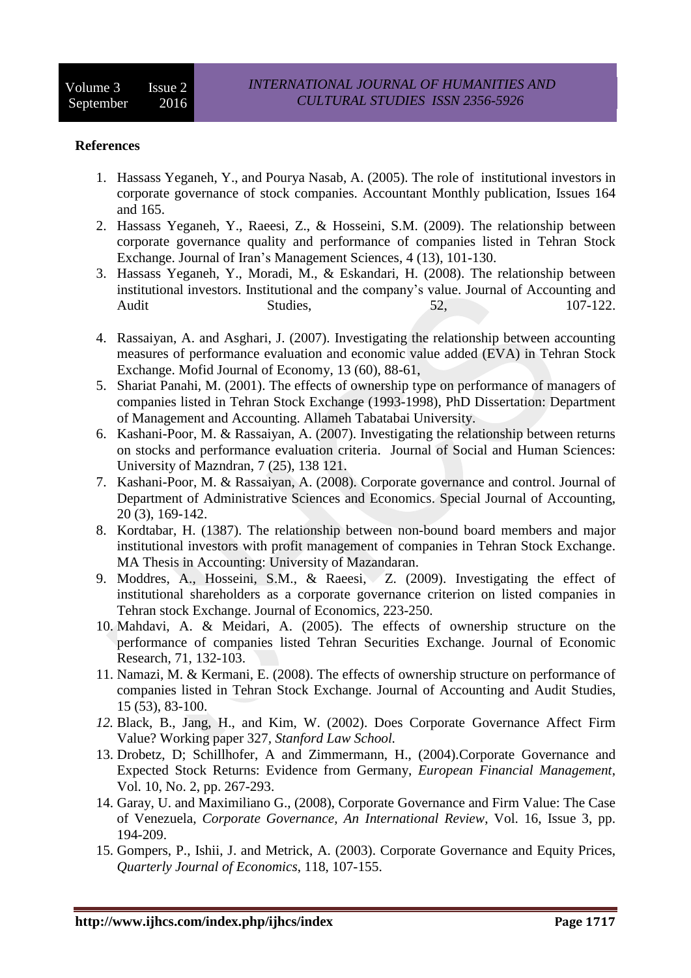#### **References**

- 1. Hassass Yeganeh, Y., and Pourya Nasab, A. (2005). The role of institutional investors in corporate governance of stock companies. Accountant Monthly publication, Issues 164 and 165.
- 2. Hassass Yeganeh, Y., Raeesi, Z., & Hosseini, S.M. (2009). The relationship between corporate governance quality and performance of companies listed in Tehran Stock Exchange. Journal of Iran's Management Sciences, 4 (13), 101-130.
- 3. Hassass Yeganeh, Y., Moradi, M., & Eskandari, H. (2008). The relationship between institutional investors. Institutional and the company's value. Journal of Accounting and Audit Studies, 52, 107-122.
- 4. Rassaiyan, A. and Asghari, J. (2007). Investigating the relationship between accounting measures of performance evaluation and economic value added (EVA) in Tehran Stock Exchange. Mofid Journal of Economy, 13 (60), 88-61,
- 5. Shariat Panahi, M. (2001). The effects of ownership type on performance of managers of companies listed in Tehran Stock Exchange (1993-1998), PhD Dissertation: Department of Management and Accounting. Allameh Tabatabai University.
- 6. Kashani-Poor, M. & Rassaiyan, A. (2007). Investigating the relationship between returns on stocks and performance evaluation criteria. Journal of Social and Human Sciences: University of Mazndran, 7 (25), 138 121.
- 7. Kashani-Poor, M. & Rassaiyan, A. (2008). Corporate governance and control. Journal of Department of Administrative Sciences and Economics. Special Journal of Accounting, 20 (3), 169-142.
- 8. Kordtabar, H. (1387). The relationship between non-bound board members and major institutional investors with profit management of companies in Tehran Stock Exchange. MA Thesis in Accounting: University of Mazandaran.
- 9. Moddres, A., Hosseini, S.M., & Raeesi, Z. (2009). Investigating the effect of institutional shareholders as a corporate governance criterion on listed companies in Tehran stock Exchange. Journal of Economics, 223-250.
- 10. Mahdavi, A. & Meidari, A. (2005). The effects of ownership structure on the performance of companies listed Tehran Securities Exchange. Journal of Economic Research, 71, 132-103.
- 11. Namazi, M. & Kermani, E. (2008). The effects of ownership structure on performance of companies listed in Tehran Stock Exchange. Journal of Accounting and Audit Studies, 15 (53), 83-100.
- *12.* Black, B., Jang, H., and Kim, W. (2002). Does Corporate Governance Affect Firm Value? Working paper 327*, Stanford Law School.*
- 13. Drobetz, D; Schillhofer, A and Zimmermann, H., (2004).Corporate Governance and Expected Stock Returns: Evidence from Germany, *European Financial Management*, Vol. 10, No. 2, pp. 267-293.
- 14. Garay, U. and Maximiliano G., (2008), Corporate Governance and Firm Value: The Case of Venezuela, *Corporate Governance, An International Review*, Vol. 16, Issue 3, pp. 194-209.
- 15. Gompers, P., Ishii, J. and Metrick, A. (2003). Corporate Governance and Equity Prices, *Quarterly Journal of Economics*, 118, 107-155.